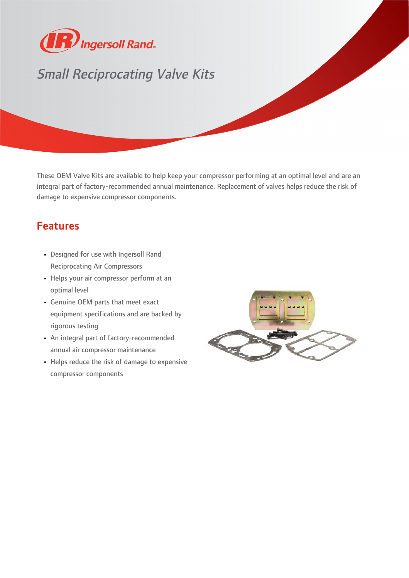

## Small Reciprocating Valve Kits

These OEM Valve Kits are available to help keep your compressor performing at an optimal level and are an integral part of factory-recommended annual maintenance. Replacement of valves helps reduce the risk of damage to expensive compressor components.

## Features

- Designed for use with Ingersoll Rand Reciprocating Air Compressors
- Helps your air compressor perform at an optimal level
- Genuine OEM parts that meet exact equipment specifications and are backed by rigorous testing
- An integral part of factory-recommended annual air compressor maintenance
- Helps reduce the risk of damage to expensive compressor components